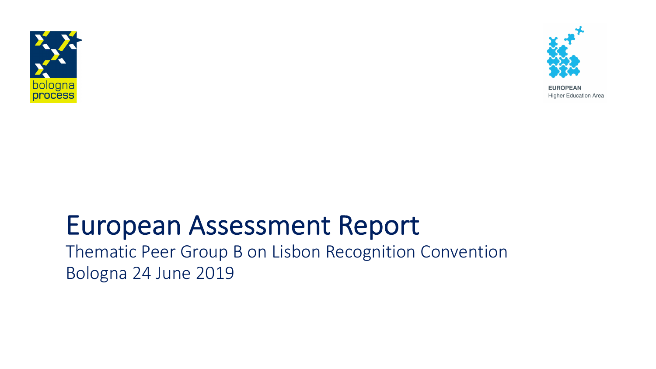



**EUROPEAN Higher Education Area** 

#### European Assessment Report

Thematic Peer Group B on Lisbon Recognition Convention Bologna 24 June 2019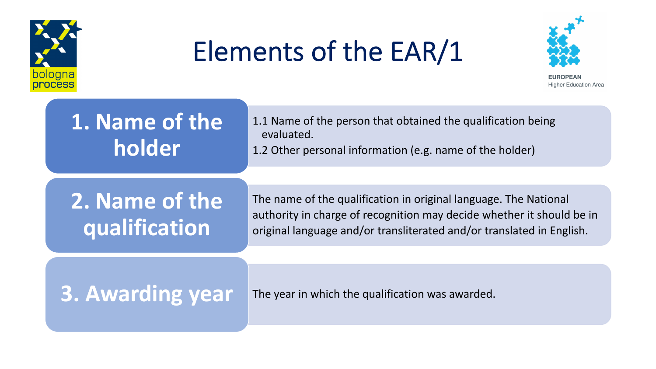



ligher Education Area

#### **1. Name of the holder**

1.1 Name of the person that obtained the qualification being evaluated. 1.2 Other personal information (e.g. name of the holder)

#### **2. Name of the qualification**

The name of the qualification in original language. The National authority in charge of recognition may decide whether it should be in original language and/or transliterated and/or translated in English.

**3. Awarding year** The year in which the qualification was awarded.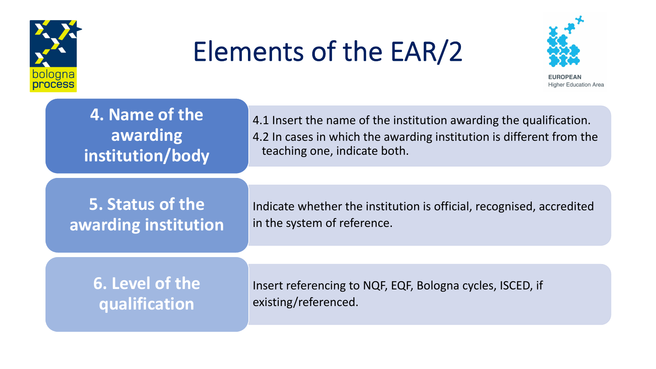



**EUROPEAN Higher Education Area** 

| 4. Name of the       | 4.1 Insert the name of the institution awarding the qualification.   |
|----------------------|----------------------------------------------------------------------|
| awarding             | 4.2 In cases in which the awarding institution is different from the |
| institution/body     | teaching one, indicate both.                                         |
|                      |                                                                      |
| 5. Status of the     | Indicate whether the institution is official, recognised, accredited |
| awarding institution | in the system of reference.                                          |
|                      |                                                                      |
| 6. Level of the      | Insert referencing to NQF, EQF, Bologna cycles, ISCED, if            |
| qualification        | existing/referenced.                                                 |
|                      |                                                                      |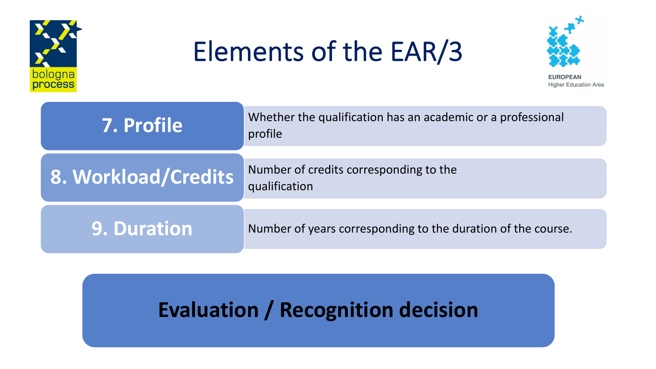



**EUROPEAN Higher Education Area** 

| <b>7. Profile</b>   | Whether the qualification has an academic or a professional<br>profile |
|---------------------|------------------------------------------------------------------------|
| 8. Workload/Credits | Number of credits corresponding to the<br>qualification                |
| <b>9. Duration</b>  | Number of years corresponding to the duration of the course.           |

#### **Evaluation / Recognition decision**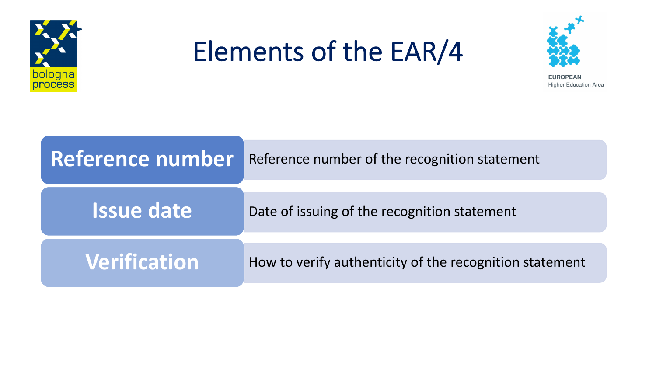



**EUROPEAN Higher Education Area** 

| Reference number    | Reference number of the recognition statement           |
|---------------------|---------------------------------------------------------|
| <b>Issue date</b>   | Date of issuing of the recognition statement            |
| <b>Verification</b> | How to verify authenticity of the recognition statement |